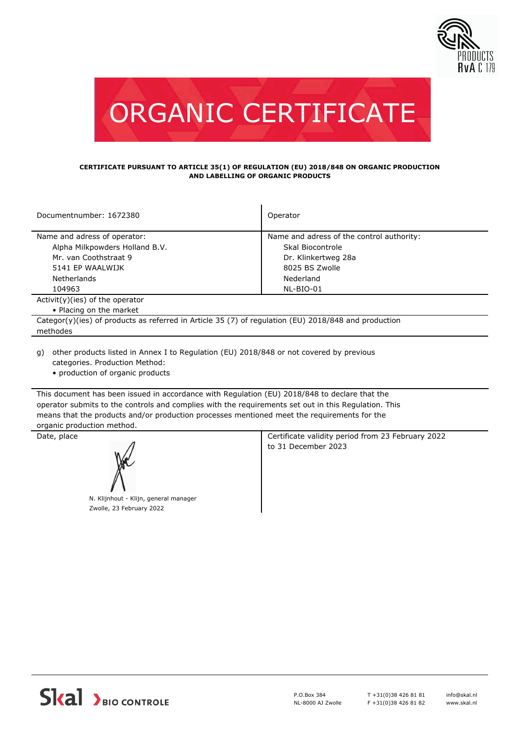



#### **CERTIFICATE PURSUANT TO ARTICLE 35(1) OF REGULATION (EU) 2018/848 ON ORGANIC PRODUCTION AND LABELLING OF ORGANIC PRODUCTS**

| Documentnumber: 1672380                                                                              | Operator                                  |  |
|------------------------------------------------------------------------------------------------------|-------------------------------------------|--|
| Name and adress of operator:                                                                         | Name and adress of the control authority: |  |
| Alpha Milkpowders Holland B.V.                                                                       | Skal Biocontrole                          |  |
| Mr. van Coothstraat 9                                                                                | Dr. Klinkertweg 28a                       |  |
| 5141 EP WAALWIJK                                                                                     | 8025 BS Zwolle                            |  |
| <b>Netherlands</b>                                                                                   | Nederland                                 |  |
| 104963                                                                                               | NL-BIO-01                                 |  |
| $Activity)(ies)$ of the operator                                                                     |                                           |  |
| • Placing on the market                                                                              |                                           |  |
| Categor(y)(ies) of products as referred in Article 35 (7) of regulation (EU) 2018/848 and production |                                           |  |
| methodes                                                                                             |                                           |  |
|                                                                                                      |                                           |  |

other products listed in Annex I to Regulation (EU) 2018/848 or not covered by previous g) categories. Production Method:

• production of organic products

This document has been issued in accordance with Regulation (EU) 2018/848 to declare that the operator submits to the controls and complies with the requirements set out in this Regulation. This means that the products and/or production processes mentioned meet the requirements for the organic production method.

N. Klijnhout - Klijn, general manager Zwolle, 23 February 2022

Date, place **Certificate validity period from 23 February 2022** to 31 December 2023